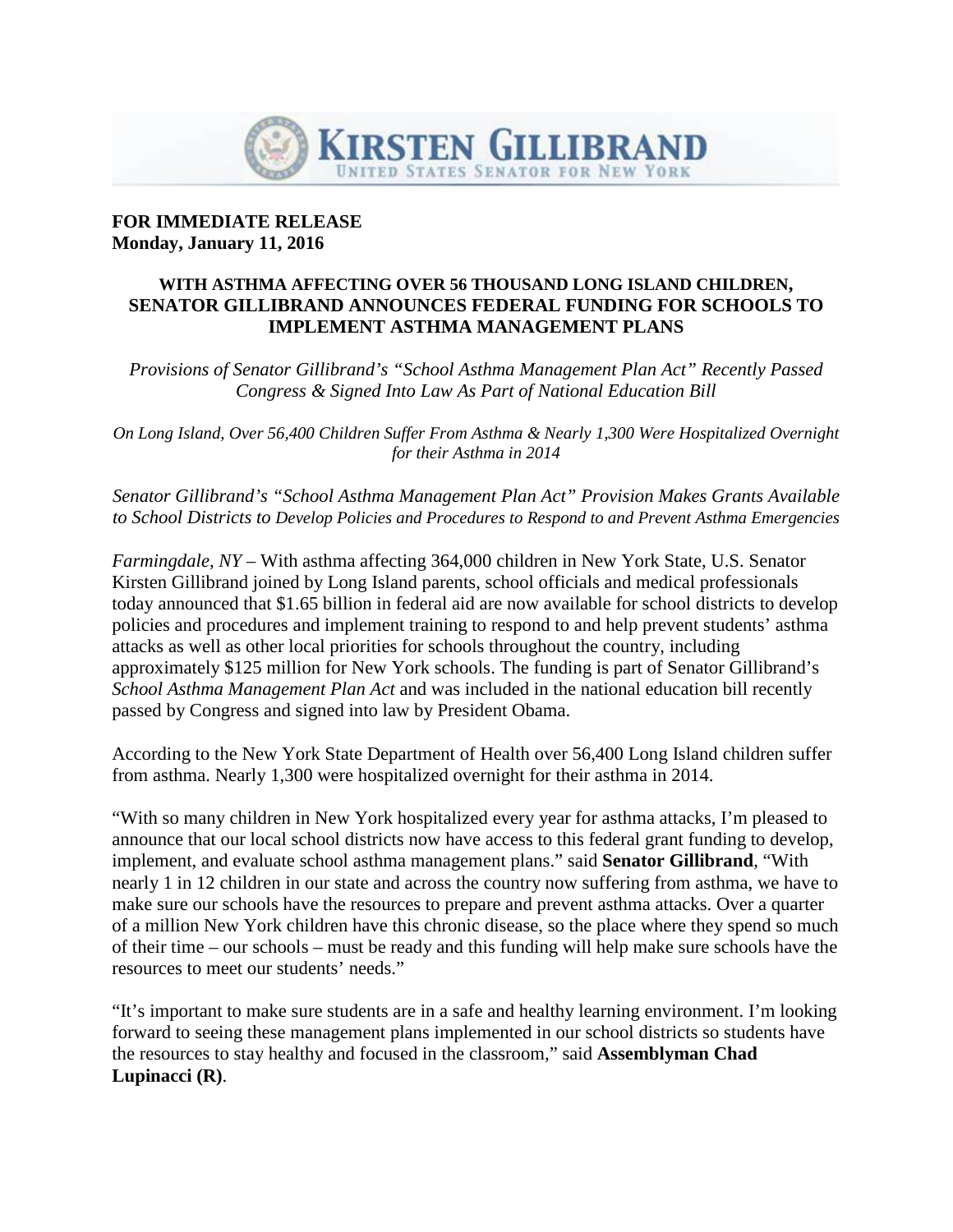

## **FOR IMMEDIATE RELEASE Monday, January 11, 2016**

## **WITH ASTHMA AFFECTING OVER 56 THOUSAND LONG ISLAND CHILDREN, SENATOR GILLIBRAND ANNOUNCES FEDERAL FUNDING FOR SCHOOLS TO IMPLEMENT ASTHMA MANAGEMENT PLANS**

*Provisions of Senator Gillibrand's "School Asthma Management Plan Act" Recently Passed Congress & Signed Into Law As Part of National Education Bill*

*On Long Island, Over 56,400 Children Suffer From Asthma & Nearly 1,300 Were Hospitalized Overnight for their Asthma in 2014*

*Senator Gillibrand's "School Asthma Management Plan Act" Provision Makes Grants Available to School Districts to Develop Policies and Procedures to Respond to and Prevent Asthma Emergencies*

*Farmingdale, NY –* With asthma affecting 364,000 children in New York State, U.S. Senator Kirsten Gillibrand joined by Long Island parents, school officials and medical professionals today announced that \$1.65 billion in federal aid are now available for school districts to develop policies and procedures and implement training to respond to and help prevent students' asthma attacks as well as other local priorities for schools throughout the country, including approximately \$125 million for New York schools. The funding is part of Senator Gillibrand's *School Asthma Management Plan Act* and was included in the national education bill recently passed by Congress and signed into law by President Obama.

According to the New York State Department of Health over 56,400 Long Island children suffer from asthma. Nearly 1,300 were hospitalized overnight for their asthma in 2014.

"With so many children in New York hospitalized every year for asthma attacks, I'm pleased to announce that our local school districts now have access to this federal grant funding to develop, implement, and evaluate school asthma management plans." said **Senator Gillibrand**, "With nearly 1 in 12 children in our state and across the country now suffering from asthma, we have to make sure our schools have the resources to prepare and prevent asthma attacks. Over a quarter of a million New York children have this chronic disease, so the place where they spend so much of their time – our schools – must be ready and this funding will help make sure schools have the resources to meet our students' needs."

"It's important to make sure students are in a safe and healthy learning environment. I'm looking forward to seeing these management plans implemented in our school districts so students have the resources to stay healthy and focused in the classroom," said **Assemblyman Chad Lupinacci (R)**.